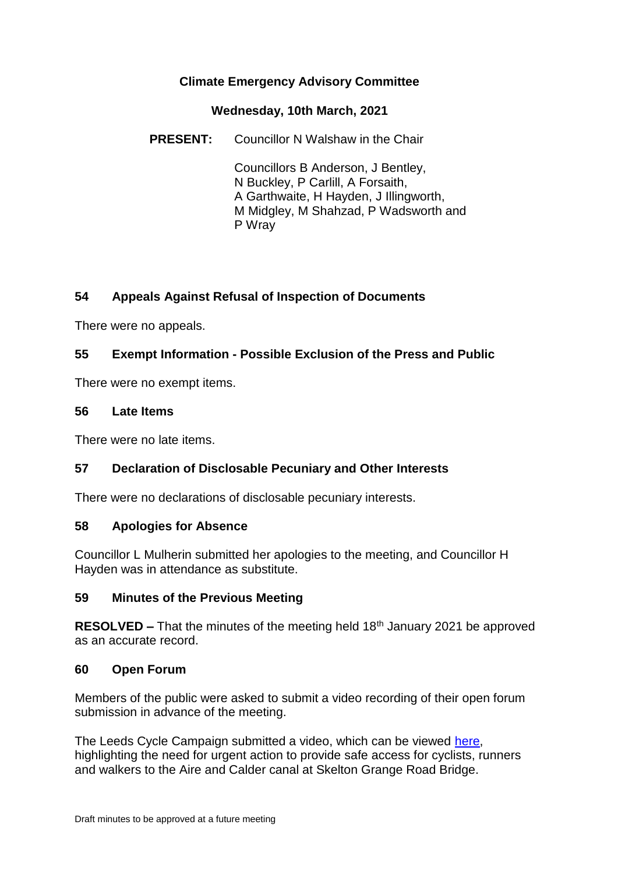## **Climate Emergency Advisory Committee**

#### **Wednesday, 10th March, 2021**

**PRESENT:** Councillor N Walshaw in the Chair

Councillors B Anderson, J Bentley, N Buckley, P Carlill, A Forsaith, A Garthwaite, H Hayden, J Illingworth, M Midgley, M Shahzad, P Wadsworth and P Wray

# **54 Appeals Against Refusal of Inspection of Documents**

There were no appeals.

## **55 Exempt Information - Possible Exclusion of the Press and Public**

There were no exempt items.

#### **56 Late Items**

There were no late items.

## **57 Declaration of Disclosable Pecuniary and Other Interests**

There were no declarations of disclosable pecuniary interests.

## **58 Apologies for Absence**

Councillor L Mulherin submitted her apologies to the meeting, and Councillor H Hayden was in attendance as substitute.

## **59 Minutes of the Previous Meeting**

**RESOLVED –** That the minutes of the meeting held 18th January 2021 be approved as an accurate record.

#### **60 Open Forum**

Members of the public were asked to submit a video recording of their open forum submission in advance of the meeting.

The Leeds Cycle Campaign submitted a video, which can be viewed [here,](https://www.youtube.com/watch?v=-pLVQBRPFFo) highlighting the need for urgent action to provide safe access for cyclists, runners and walkers to the Aire and Calder canal at Skelton Grange Road Bridge.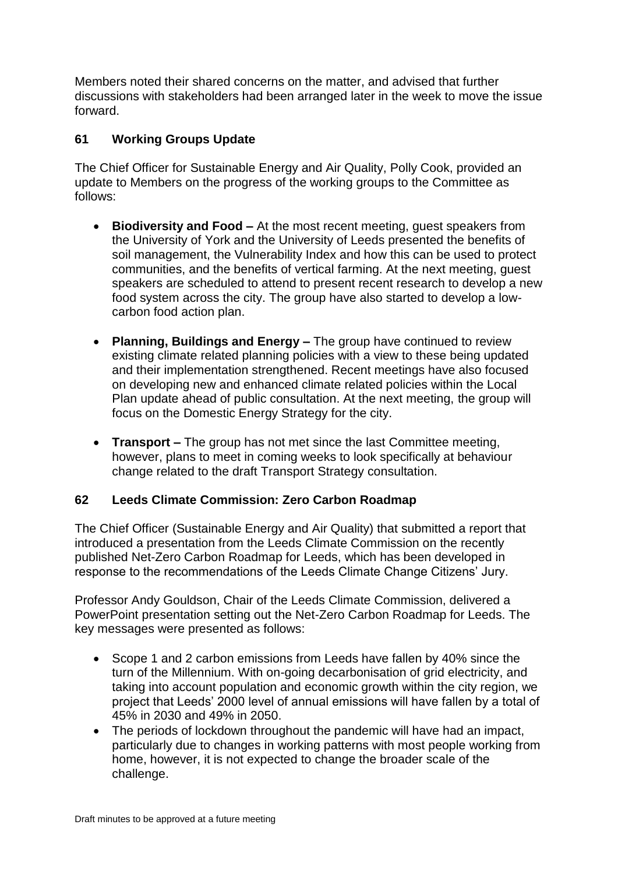Members noted their shared concerns on the matter, and advised that further discussions with stakeholders had been arranged later in the week to move the issue forward.

## **61 Working Groups Update**

The Chief Officer for Sustainable Energy and Air Quality, Polly Cook, provided an update to Members on the progress of the working groups to the Committee as follows:

- **Biodiversity and Food –** At the most recent meeting, guest speakers from the University of York and the University of Leeds presented the benefits of soil management, the Vulnerability Index and how this can be used to protect communities, and the benefits of vertical farming. At the next meeting, guest speakers are scheduled to attend to present recent research to develop a new food system across the city. The group have also started to develop a lowcarbon food action plan.
- **Planning, Buildings and Energy –** The group have continued to review existing climate related planning policies with a view to these being updated and their implementation strengthened. Recent meetings have also focused on developing new and enhanced climate related policies within the Local Plan update ahead of public consultation. At the next meeting, the group will focus on the Domestic Energy Strategy for the city.
- **Transport –** The group has not met since the last Committee meeting, however, plans to meet in coming weeks to look specifically at behaviour change related to the draft Transport Strategy consultation.

## **62 Leeds Climate Commission: Zero Carbon Roadmap**

The Chief Officer (Sustainable Energy and Air Quality) that submitted a report that introduced a presentation from the Leeds Climate Commission on the recently published Net-Zero Carbon Roadmap for Leeds, which has been developed in response to the recommendations of the Leeds Climate Change Citizens' Jury.

Professor Andy Gouldson, Chair of the Leeds Climate Commission, delivered a PowerPoint presentation setting out the Net-Zero Carbon Roadmap for Leeds. The key messages were presented as follows:

- Scope 1 and 2 carbon emissions from Leeds have fallen by 40% since the turn of the Millennium. With on-going decarbonisation of grid electricity, and taking into account population and economic growth within the city region, we project that Leeds' 2000 level of annual emissions will have fallen by a total of 45% in 2030 and 49% in 2050.
- The periods of lockdown throughout the pandemic will have had an impact, particularly due to changes in working patterns with most people working from home, however, it is not expected to change the broader scale of the challenge.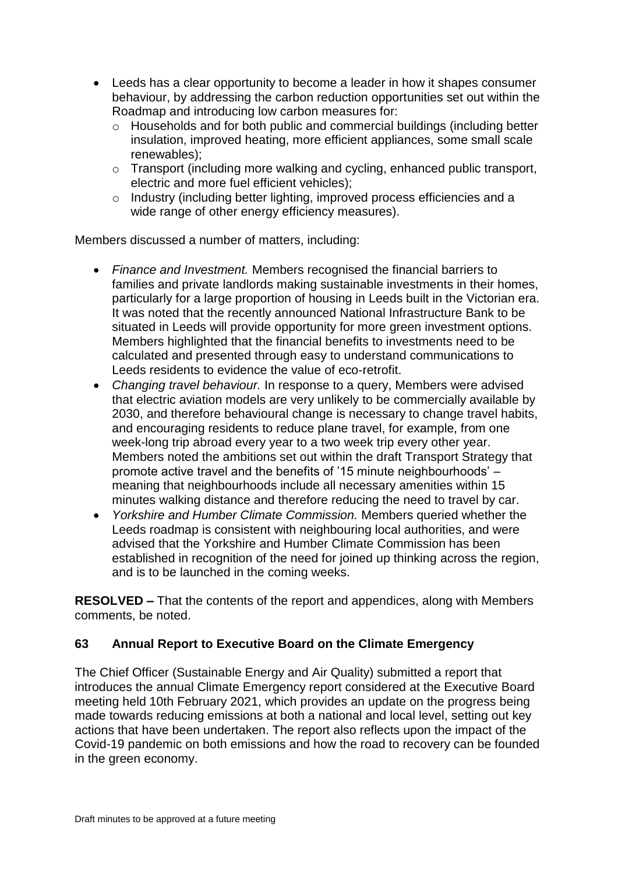- Leeds has a clear opportunity to become a leader in how it shapes consumer behaviour, by addressing the carbon reduction opportunities set out within the Roadmap and introducing low carbon measures for:
	- o Households and for both public and commercial buildings (including better insulation, improved heating, more efficient appliances, some small scale renewables);
	- o Transport (including more walking and cycling, enhanced public transport, electric and more fuel efficient vehicles);
	- o Industry (including better lighting, improved process efficiencies and a wide range of other energy efficiency measures).

Members discussed a number of matters, including:

- *Finance and Investment.* Members recognised the financial barriers to families and private landlords making sustainable investments in their homes, particularly for a large proportion of housing in Leeds built in the Victorian era. It was noted that the recently announced National Infrastructure Bank to be situated in Leeds will provide opportunity for more green investment options. Members highlighted that the financial benefits to investments need to be calculated and presented through easy to understand communications to Leeds residents to evidence the value of eco-retrofit.
- *Changing travel behaviour.* In response to a query, Members were advised that electric aviation models are very unlikely to be commercially available by 2030, and therefore behavioural change is necessary to change travel habits, and encouraging residents to reduce plane travel, for example, from one week-long trip abroad every year to a two week trip every other year. Members noted the ambitions set out within the draft Transport Strategy that promote active travel and the benefits of '15 minute neighbourhoods' – meaning that neighbourhoods include all necessary amenities within 15 minutes walking distance and therefore reducing the need to travel by car.
- *Yorkshire and Humber Climate Commission.* Members queried whether the Leeds roadmap is consistent with neighbouring local authorities, and were advised that the Yorkshire and Humber Climate Commission has been established in recognition of the need for joined up thinking across the region, and is to be launched in the coming weeks.

**RESOLVED –** That the contents of the report and appendices, along with Members comments, be noted.

## **63 Annual Report to Executive Board on the Climate Emergency**

The Chief Officer (Sustainable Energy and Air Quality) submitted a report that introduces the annual Climate Emergency report considered at the Executive Board meeting held 10th February 2021, which provides an update on the progress being made towards reducing emissions at both a national and local level, setting out key actions that have been undertaken. The report also reflects upon the impact of the Covid-19 pandemic on both emissions and how the road to recovery can be founded in the green economy.